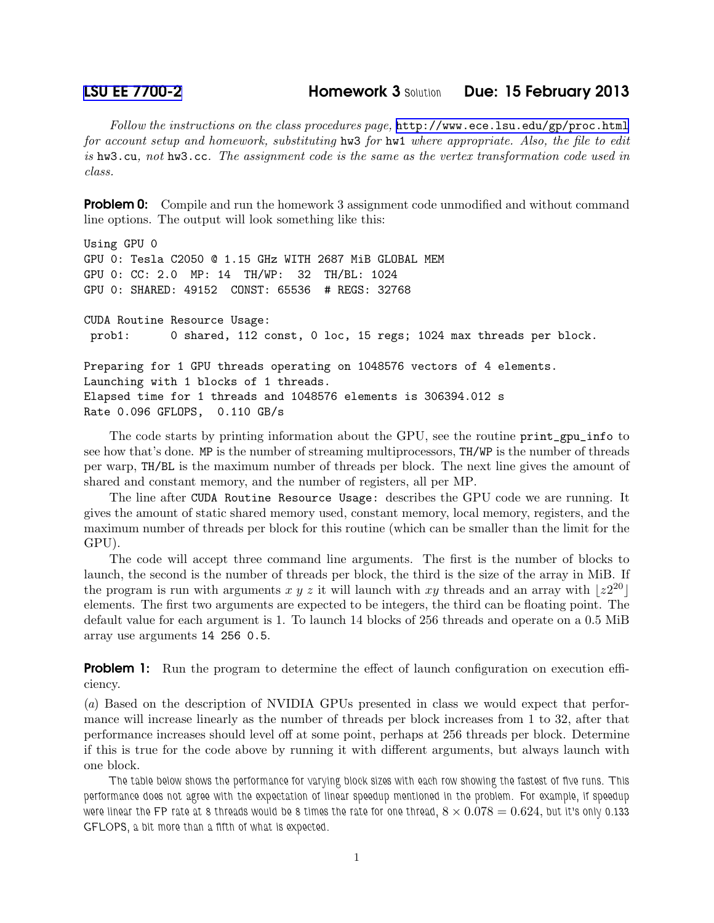Follow the instructions on the class procedures page, <http://www.ece.lsu.edu/gp/proc.html> for account setup and homework, substituting hw3 for hw1 where appropriate. Also, the file to edit is hw3.cu, not hw3.cc. The assignment code is the same as the vertex transformation code used in class.

**Problem 0:** Compile and run the homework 3 assignment code unmodified and without command line options. The output will look something like this:

```
Using GPU 0
GPU 0: Tesla C2050 @ 1.15 GHz WITH 2687 MiB GLOBAL MEM
GPU 0: CC: 2.0 MP: 14 TH/WP: 32 TH/BL: 1024
GPU 0: SHARED: 49152 CONST: 65536 # REGS: 32768
CUDA Routine Resource Usage:
prob1: 0 shared, 112 const, 0 loc, 15 regs; 1024 max threads per block.
Preparing for 1 GPU threads operating on 1048576 vectors of 4 elements.
Launching with 1 blocks of 1 threads.
Elapsed time for 1 threads and 1048576 elements is 306394.012 s
Rate 0.096 GFLOPS, 0.110 GB/s
```
The code starts by printing information about the GPU, see the routine print\_gpu\_info to see how that's done. MP is the number of streaming multiprocessors, TH/WP is the number of threads per warp, TH/BL is the maximum number of threads per block. The next line gives the amount of shared and constant memory, and the number of registers, all per MP.

The line after CUDA Routine Resource Usage: describes the GPU code we are running. It gives the amount of static shared memory used, constant memory, local memory, registers, and the maximum number of threads per block for this routine (which can be smaller than the limit for the GPU).

The code will accept three command line arguments. The first is the number of blocks to launch, the second is the number of threads per block, the third is the size of the array in MiB. If the program is run with arguments x y z it will launch with xy threads and an array with  $|z^{20}|$ elements. The first two arguments are expected to be integers, the third can be floating point. The default value for each argument is 1. To launch 14 blocks of 256 threads and operate on a 0.5 MiB array use arguments 14 256 0.5.

**Problem 1:** Run the program to determine the effect of launch configuration on execution efficiency.

(a) Based on the description of NVIDIA GPUs presented in class we would expect that performance will increase linearly as the number of threads per block increases from 1 to 32, after that performance increases should level off at some point, perhaps at 256 threads per block. Determine if this is true for the code above by running it with different arguments, but always launch with one block.

The table below shows the performance for varying block sizes with each row showing the fastest of five runs. This performance does not agree with the expectation of linear speedup mentioned in the problem. For example, if speedup were linear the FP rate at 8 threads would be 8 times the rate for one thread,  $8 \times 0.078 = 0.624$ , but it's only 0.133 GFLOPS, a bit more than a fifth of what is expected.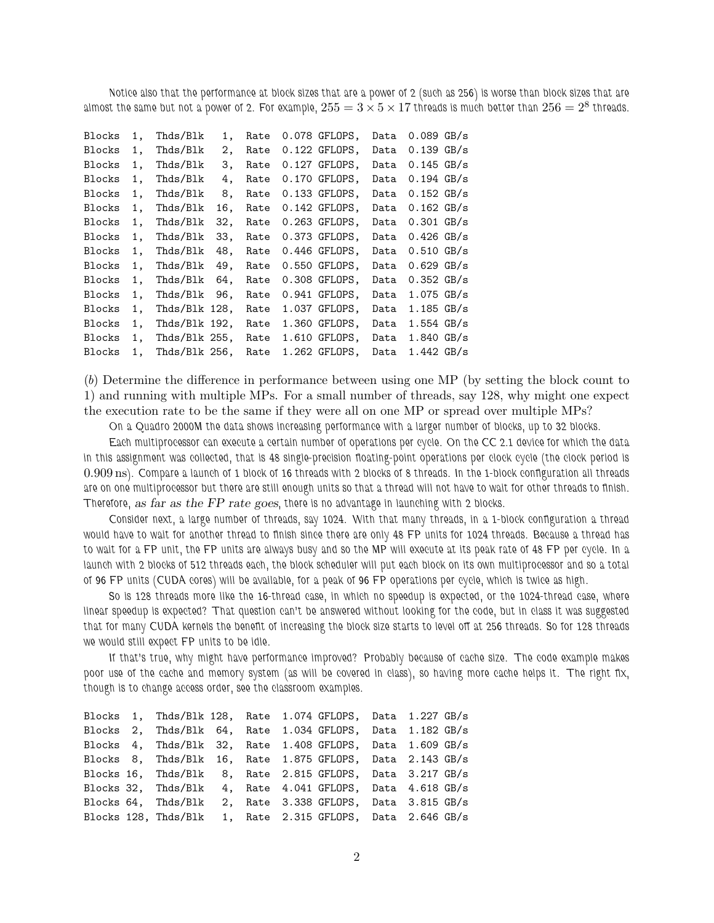Notice also that the performance at block sizes that are a power of 2 (such as 256) is worse than block sizes that are almost the same but not a power of 2. For example,  $255=3\times 5\times 17$  threads is much better than  $256=2^8$  threads.

| Blocks | 1. | Thds/Blk         | 1.  | Rate | 0.078 GFLOPS,   | Data | $0.089$ GB/s         |  |
|--------|----|------------------|-----|------|-----------------|------|----------------------|--|
| Blocks | 1. | Thds/Blk         | 2,  | Rate | $0.122$ GFLOPS, | Data | $0.139$ GB/s         |  |
| Blocks | 1. | Thds/Blk         | З.  | Rate | $0.127$ GFLOPS, | Data | $0.145$ GB/s         |  |
| Blocks | 1. | Thds/Blk         | 4.  | Rate | 0.170 GFLOPS,   | Data | $0.194$ GB/s         |  |
| Blocks | 1. | Thds/Blk         | 8,  | Rate | $0.133$ GFLOPS, | Data | $0.152 \text{ GB/s}$ |  |
| Blocks | 1. | Thds/Blk         | 16, | Rate | $0.142$ GFLOPS, | Data | $0.162$ GB/s         |  |
| Blocks | 1. | Thds/Blk         | 32, | Rate | $0.263$ GFLOPS, | Data | $0.301$ GB/s         |  |
| Blocks | 1. | Thds/Blk         | 33, | Rate | $0.373$ GFLOPS, | Data | $0.426$ GB/s         |  |
| Blocks | 1. | Thds/Blk         | 48, | Rate | $0.446$ GFLOPS, | Data | $0.510 \text{ GB/s}$ |  |
| Blocks | 1. | Thds/Blk         | 49. | Rate | $0.550$ GFLOPS, | Data | $0.629$ GB/s         |  |
| Blocks | 1. | Thds/Blk         | 64, | Rate | $0.308$ GFLOPS, | Data | $0.352 \text{ GB/s}$ |  |
| Blocks | 1. | Thds/Blk         | 96. | Rate | $0.941$ GFLOPS, | Data | $1.075$ GB/s         |  |
| Blocks | 1. | Thds/Blk 128,    |     | Rate | 1.037 GFLOPS,   | Data | $1.185$ GB/s         |  |
| Blocks | 1. | Thds/Blk 192,    |     | Rate | 1.360 GFLOPS,   | Data | $1.554$ GB/s         |  |
| Blocks | 1, | Thds/Blk $255$ , |     | Rate | 1.610 GFLOPS,   | Data | $1.840$ GB/s         |  |
| Blocks | 1. | Thds/Blk 256,    |     | Rate | 1.262 GFLOPS,   | Data | $1.442$ GB/s         |  |
|        |    |                  |     |      |                 |      |                      |  |

(b) Determine the difference in performance between using one MP (by setting the block count to 1) and running with multiple MPs. For a small number of threads, say 128, why might one expect the execution rate to be the same if they were all on one MP or spread over multiple MPs?

On a Quadro 2000M the data shows increasing performance with a larger number of blocks, up to 32 blocks.

Each multiprocessor can execute a certain number of operations per cycle. On the CC 2.1 device for which the data in this assignment was collected, that is 48 single-precision floating-point operations per clock cycle (the clock period is 0.909 ns). Compare a launch of 1 block of 16 threads with 2 blocks of 8 threads. In the 1-block configuration all threads are on one multiprocessor but there are still enough units so that a thread will not have to wait for other threads to finish. Therefore, as far as the FP rate goes, there is no advantage in launching with 2 blocks.

Consider next, a large number of threads, say 1024. With that many threads, in a 1-block configuration a thread would have to wait for another thread to finish since there are only 48 FP units for 1024 threads. Because a thread has to wait for a FP unit, the FP units are always busy and so the MP will execute at its peak rate of 48 FP per cycle. In a launch with 2 blocks of 512 threads each, the block scheduler will put each block on its own multiprocessor and so a total of 96 FP units (CUDA cores) will be available, for a peak of 96 FP operations per cycle, which is twice as high.

So is 128 threads more like the 16-thread case, in which no speedup is expected, or the 1024-thread case, where linear speedup is expected? That question can't be answered without looking for the code, but in class it was suggested that for many CUDA kernels the benefit of increasing the block size starts to level off at 256 threads. So for 128 threads we would still expect FP units to be idle.

If that's true, why might have performance improved? Probably because of cache size. The code example makes poor use of the cache and memory system (as will be covered in class), so having more cache helps it. The right fix, though is to change access order, see the classroom examples.

Blocks 1, Thds/Blk 128, Rate 1.074 GFLOPS, Data 1.227 GB/s Blocks 2, Thds/Blk 64, Rate 1.034 GFLOPS, Data 1.182 GB/s Blocks 4, Thds/Blk 32, Rate 1.408 GFLOPS, Data 1.609 GB/s Blocks 8, Thds/Blk 16, Rate 1.875 GFLOPS, Data 2.143 GB/s Blocks 16, Thds/Blk 8, Rate 2.815 GFLOPS, Data 3.217 GB/s Blocks 32, Thds/Blk 4, Rate 4.041 GFLOPS, Data 4.618 GB/s Blocks 64, Thds/Blk 2, Rate 3.338 GFLOPS, Data 3.815 GB/s Blocks 128, Thds/Blk 1, Rate 2.315 GFLOPS, Data 2.646 GB/s